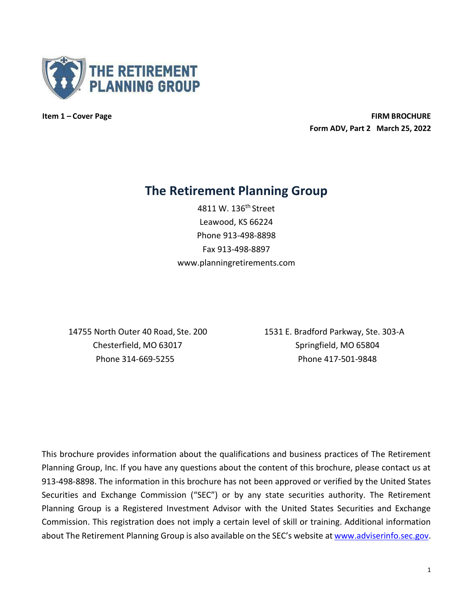

**Item 1 – Cover Page FIRM BROCHURE Form ADV, Part 2 March 25, 2022**

# **The Retirement Planning Group**

4811 W. 136<sup>th</sup> Street Leawood, KS 66224 Phone 913-498-8898 Fax 913-498-8897 [www.planningretirements.com](http://www.planningretirements.com/)

Chesterfield, MO 63017 Springfield, MO 65804

14755 North Outer 40 Road, Ste. 200 1531 E. Bradford Parkway, Ste. 303-A Phone 314-669-5255 Phone 417-501-9848

This brochure provides information about the qualifications and business practices of The Retirement Planning Group, Inc. If you have any questions about the content of this brochure, please contact us at 913-498-8898. The information in this brochure has not been approved or verified by the United States Securities and Exchange Commission ("SEC") or by any state securities authority. The Retirement Planning Group is a Registered Investment Advisor with the United States Securities and Exchange Commission. This registration does not imply a certain level of skill or training. Additional information about The Retirement Planning Group is also available on the SEC's website at [www.adviserinfo.sec.gov.](http://www.adviserinfo.sec.gov/)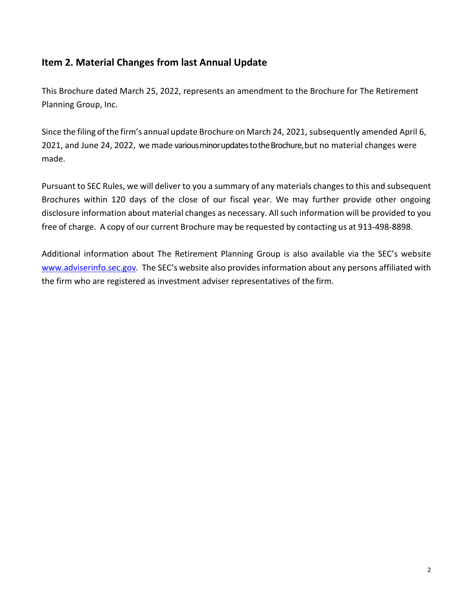# <span id="page-1-0"></span>**Item 2. Material Changes from last Annual Update**

This Brochure dated March 25, 2022, represents an amendment to the Brochure for The Retirement Planning Group, Inc.

Since the filing of the firm's annual update Brochure on March 24, 2021, subsequently amended April 6, 2021, and June 24, 2022, we made variousminorupdates totheBrochure,but no material changes were made.

Pursuant to SEC Rules, we will deliver to you a summary of any materials changes to this and subsequent Brochures within 120 days of the close of our fiscal year. We may further provide other ongoing disclosure information about material changes as necessary. All such information will be provided to you free of charge. A copy of our current Brochure may be requested by contacting us at 913-498-8898.

Additional information about The Retirement Planning Group is also available via the SEC's website [www.adviserinfo.sec.gov.](http://www.adviserinfo.sec.gov/) The SEC's website also provides information about any persons affiliated with the firm who are registered as investment adviser representatives of the firm.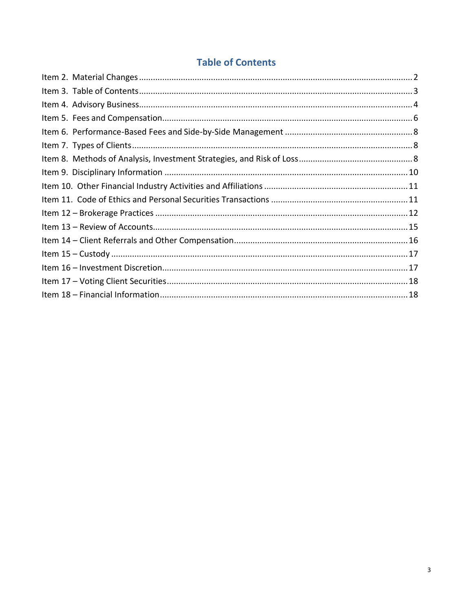# **Table of Contents**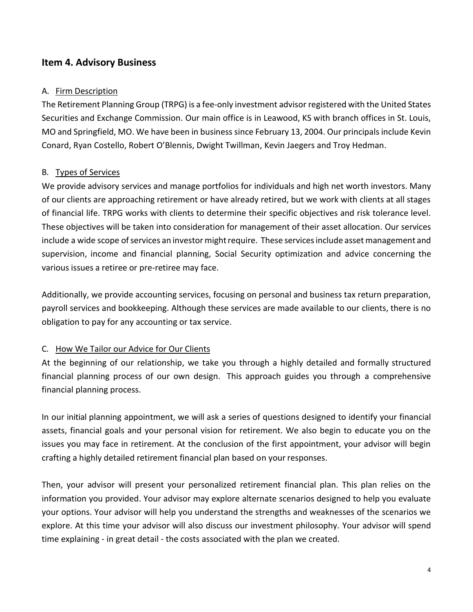## <span id="page-3-0"></span>**Item 4. Advisory Business**

#### A. Firm Description

The Retirement Planning Group (TRPG) is a fee-only investment advisor registered with the United States Securities and Exchange Commission. Our main office is in Leawood, KS with branch offices in St. Louis, MO and Springfield, MO. We have been in business since February 13, 2004. Our principals include Kevin Conard, Ryan Costello, Robert O'Blennis, Dwight Twillman, Kevin Jaegers and Troy Hedman.

#### B. Types of Services

We provide advisory services and manage portfolios for individuals and high net worth investors. Many of our clients are approaching retirement or have already retired, but we work with clients at all stages of financial life. TRPG works with clients to determine their specific objectives and risk tolerance level. These objectives will be taken into consideration for management of their asset allocation. Our services include a wide scope of services an investor might require. These services include asset management and supervision, income and financial planning, Social Security optimization and advice concerning the various issues a retiree or pre-retiree may face.

Additionally, we provide accounting services, focusing on personal and business tax return preparation, payroll services and bookkeeping. Although these services are made available to our clients, there is no obligation to pay for any accounting or tax service.

### C. How We Tailor our Advice for Our Clients

At the beginning of our relationship, we take you through a highly detailed and formally structured financial planning process of our own design. This approach guides you through a comprehensive financial planning process.

In our initial planning appointment, we will ask a series of questions designed to identify your financial assets, financial goals and your personal vision for retirement. We also begin to educate you on the issues you may face in retirement. At the conclusion of the first appointment, your advisor will begin crafting a highly detailed retirement financial plan based on yourresponses.

Then, your advisor will present your personalized retirement financial plan. This plan relies on the information you provided. Your advisor may explore alternate scenarios designed to help you evaluate your options. Your advisor will help you understand the strengths and weaknesses of the scenarios we explore. At this time your advisor will also discuss our investment philosophy. Your advisor will spend time explaining - in great detail - the costs associated with the plan we created.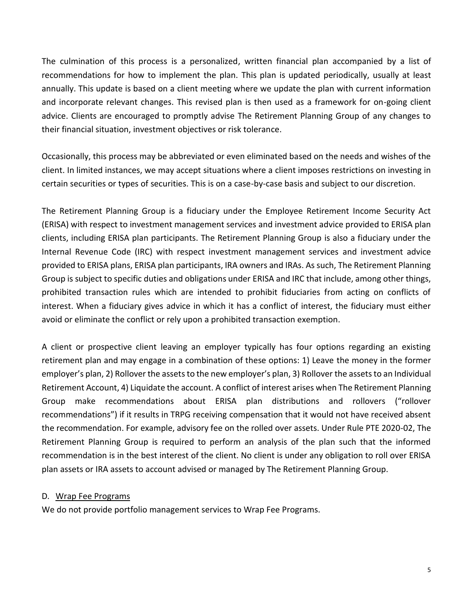The culmination of this process is a personalized, written financial plan accompanied by a list of recommendations for how to implement the plan. This plan is updated periodically, usually at least annually. This update is based on a client meeting where we update the plan with current information and incorporate relevant changes. This revised plan is then used as a framework for on-going client advice. Clients are encouraged to promptly advise The Retirement Planning Group of any changes to their financial situation, investment objectives or risk tolerance.

Occasionally, this process may be abbreviated or even eliminated based on the needs and wishes of the client. In limited instances, we may accept situations where a client imposes restrictions on investing in certain securities or types of securities. This is on a case-by-case basis and subject to our discretion.

The Retirement Planning Group is a fiduciary under the Employee Retirement Income Security Act (ERISA) with respect to investment management services and investment advice provided to ERISA plan clients, including ERISA plan participants. The Retirement Planning Group is also a fiduciary under the Internal Revenue Code (IRC) with respect investment management services and investment advice provided to ERISA plans, ERISA plan participants, IRA owners and IRAs. As such, The Retirement Planning Group is subject to specific duties and obligations under ERISA and IRC that include, among other things, prohibited transaction rules which are intended to prohibit fiduciaries from acting on conflicts of interest. When a fiduciary gives advice in which it has a conflict of interest, the fiduciary must either avoid or eliminate the conflict or rely upon a prohibited transaction exemption.

A client or prospective client leaving an employer typically has four options regarding an existing retirement plan and may engage in a combination of these options: 1) Leave the money in the former employer's plan, 2) Rollover the assets to the new employer's plan, 3) Rollover the assets to an Individual Retirement Account, 4) Liquidate the account. A conflict of interest arises when The Retirement Planning Group make recommendations about ERISA plan distributions and rollovers ("rollover recommendations") if it results in TRPG receiving compensation that it would not have received absent the recommendation. For example, advisory fee on the rolled over assets. Under Rule PTE 2020-02, The Retirement Planning Group is required to perform an analysis of the plan such that the informed recommendation is in the best interest of the client. No client is under any obligation to roll over ERISA plan assets or IRA assets to account advised or managed by The Retirement Planning Group.

#### D. Wrap Fee Programs

We do not provide portfolio management services to Wrap Fee Programs.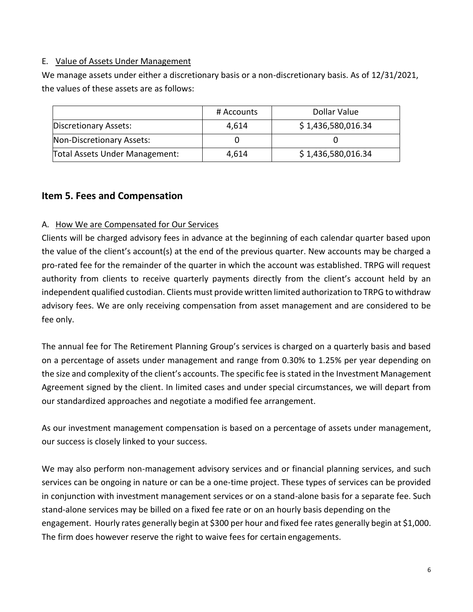#### E. Value of Assets Under Management

We manage assets under either a discretionary basis or a non-discretionary basis. As of 12/31/2021, the values of these assets are as follows:

|                                | # Accounts | Dollar Value       |
|--------------------------------|------------|--------------------|
| Discretionary Assets:          | 4,614      | \$1,436,580,016.34 |
| Non-Discretionary Assets:      |            |                    |
| Total Assets Under Management: | 4,614      | \$1,436,580,016.34 |

## <span id="page-5-0"></span>**Item 5. Fees and Compensation**

#### A. How We are Compensated for Our Services

Clients will be charged advisory fees in advance at the beginning of each calendar quarter based upon the value of the client's account(s) at the end of the previous quarter. New accounts may be charged a pro-rated fee for the remainder of the quarter in which the account was established. TRPG will request authority from clients to receive quarterly payments directly from the client's account held by an independent qualified custodian. Clients must provide written limited authorization to TRPG to withdraw advisory fees. We are only receiving compensation from asset management and are considered to be fee only.

The annual fee for The Retirement Planning Group's services is charged on a quarterly basis and based on a percentage of assets under management and range from 0.30% to 1.25% per year depending on the size and complexity of the client's accounts. The specific fee is stated in the Investment Management Agreement signed by the client. In limited cases and under special circumstances, we will depart from our standardized approaches and negotiate a modified fee arrangement.

As our investment management compensation is based on a percentage of assets under management, our success is closely linked to your success.

We may also perform non-management advisory services and or financial planning services, and such services can be ongoing in nature or can be a one-time project. These types of services can be provided in conjunction with investment management services or on a stand-alone basis for a separate fee. Such stand-alone services may be billed on a fixed fee rate or on an hourly basis depending on the engagement. Hourly rates generally begin at \$300 per hour and fixed fee rates generally begin at \$1,000. The firm does however reserve the right to waive fees for certain engagements.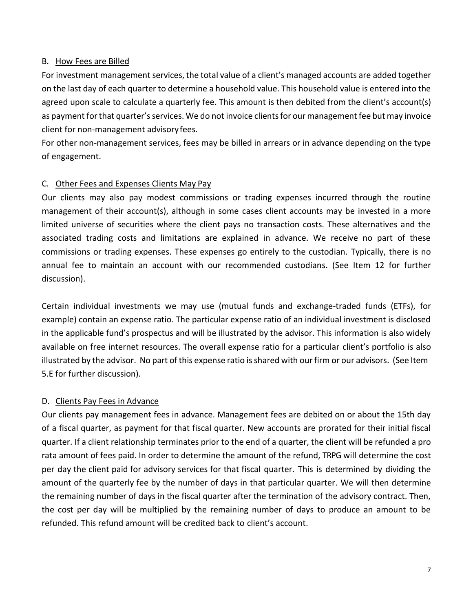#### B. How Fees are Billed

For investment management services, the total value of a client's managed accounts are added together on the last day of each quarter to determine a household value. This household value is entered into the agreed upon scale to calculate a quarterly fee. This amount is then debited from the client's account(s) as payment for that quarter's services. We do not invoice clientsfor our management fee but may invoice client for non-management advisoryfees.

For other non-management services, fees may be billed in arrears or in advance depending on the type of engagement.

#### C. Other Fees and Expenses Clients May Pay

Our clients may also pay modest commissions or trading expenses incurred through the routine management of their account(s), although in some cases client accounts may be invested in a more limited universe of securities where the client pays no transaction costs. These alternatives and the associated trading costs and limitations are explained in advance. We receive no part of these commissions or trading expenses. These expenses go entirely to the custodian. Typically, there is no annual fee to maintain an account with our recommended custodians. (See Item 12 for further discussion).

Certain individual investments we may use (mutual funds and exchange-traded funds (ETFs), for example) contain an expense ratio. The particular expense ratio of an individual investment is disclosed in the applicable fund's prospectus and will be illustrated by the advisor. This information is also widely available on free internet resources. The overall expense ratio for a particular client's portfolio is also illustrated by the advisor. No part of this expense ratio is shared with our firm or our advisors. (See Item 5.E for further discussion).

#### D. Clients Pay Fees in Advance

Our clients pay management fees in advance. Management fees are debited on or about the 15th day of a fiscal quarter, as payment for that fiscal quarter. New accounts are prorated for their initial fiscal quarter. If a client relationship terminates prior to the end of a quarter, the client will be refunded a pro rata amount of fees paid. In order to determine the amount of the refund, TRPG will determine the cost per day the client paid for advisory services for that fiscal quarter. This is determined by dividing the amount of the quarterly fee by the number of days in that particular quarter. We will then determine the remaining number of days in the fiscal quarter after the termination of the advisory contract. Then, the cost per day will be multiplied by the remaining number of days to produce an amount to be refunded. This refund amount will be credited back to client's account.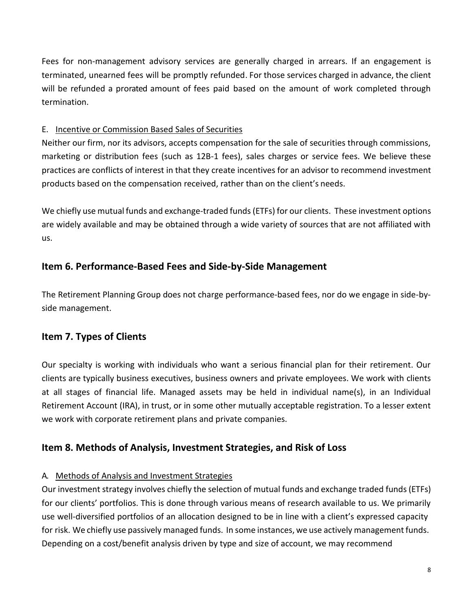Fees for non-management advisory services are generally charged in arrears. If an engagement is terminated, unearned fees will be promptly refunded. For those services charged in advance, the client will be refunded a prorated amount of fees paid based on the amount of work completed through termination.

## E. Incentive or Commission Based Sales of Securities

Neither our firm, nor its advisors, accepts compensation for the sale of securities through commissions, marketing or distribution fees (such as 12B-1 fees), sales charges or service fees. We believe these practices are conflicts of interest in that they create incentives for an advisor to recommend investment products based on the compensation received, rather than on the client's needs.

We chiefly use mutual funds and exchange-traded funds(ETFs) for our clients. These investment options are widely available and may be obtained through a wide variety of sources that are not affiliated with us.

# <span id="page-7-0"></span>**Item 6. Performance-Based Fees and Side-by-Side Management**

The Retirement Planning Group does not charge performance-based fees, nor do we engage in side-byside management.

# <span id="page-7-1"></span>**Item 7. Types of Clients**

Our specialty is working with individuals who want a serious financial plan for their retirement. Our clients are typically business executives, business owners and private employees. We work with clients at all stages of financial life. Managed assets may be held in individual name(s), in an Individual Retirement Account (IRA), in trust, or in some other mutually acceptable registration. To a lesser extent we work with corporate retirement plans and private companies.

# <span id="page-7-2"></span>**Item 8. Methods of Analysis, Investment Strategies, and Risk of Loss**

## A. Methods of Analysis and Investment Strategies

Our investment strategy involves chiefly the selection of mutual funds and exchange traded funds(ETFs) for our clients' portfolios. This is done through various means of research available to us. We primarily use well-diversified portfolios of an allocation designed to be in line with a client's expressed capacity for risk. We chiefly use passively managed funds. In some instances, we use actively management funds. Depending on a cost/benefit analysis driven by type and size of account, we may recommend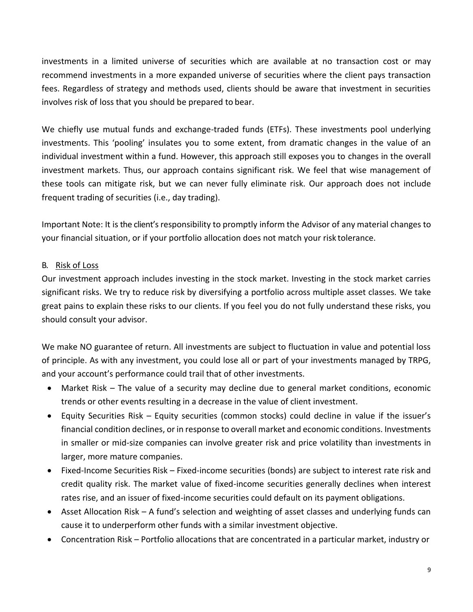investments in a limited universe of securities which are available at no transaction cost or may recommend investments in a more expanded universe of securities where the client pays transaction fees. Regardless of strategy and methods used, clients should be aware that investment in securities involves risk of loss that you should be prepared to bear.

We chiefly use mutual funds and exchange-traded funds (ETFs). These investments pool underlying investments. This 'pooling' insulates you to some extent, from dramatic changes in the value of an individual investment within a fund. However, this approach still exposes you to changes in the overall investment markets. Thus, our approach contains significant risk. We feel that wise management of these tools can mitigate risk, but we can never fully eliminate risk. Our approach does not include frequent trading of securities (i.e., day trading).

Important Note: It is the client's responsibility to promptly inform the Advisor of any material changes to your financial situation, or if your portfolio allocation does not match your risk tolerance.

### B. Risk of Loss

Our investment approach includes investing in the stock market. Investing in the stock market carries significant risks. We try to reduce risk by diversifying a portfolio across multiple asset classes. We take great pains to explain these risks to our clients. If you feel you do not fully understand these risks, you should consult your advisor.

We make NO guarantee of return. All investments are subject to fluctuation in value and potential loss of principle. As with any investment, you could lose all or part of your investments managed by TRPG, and your account's performance could trail that of other investments.

- Market Risk The value of a security may decline due to general market conditions, economic trends or other events resulting in a decrease in the value of client investment.
- Equity Securities Risk Equity securities (common stocks) could decline in value if the issuer's financial condition declines, or in response to overall market and economic conditions. Investments in smaller or mid-size companies can involve greater risk and price volatility than investments in larger, more mature companies.
- Fixed-Income Securities Risk Fixed-income securities (bonds) are subject to interest rate risk and credit quality risk. The market value of fixed-income securities generally declines when interest rates rise, and an issuer of fixed-income securities could default on its payment obligations.
- Asset Allocation Risk A fund's selection and weighting of asset classes and underlying funds can cause it to underperform other funds with a similar investment objective.
- Concentration Risk Portfolio allocations that are concentrated in a particular market, industry or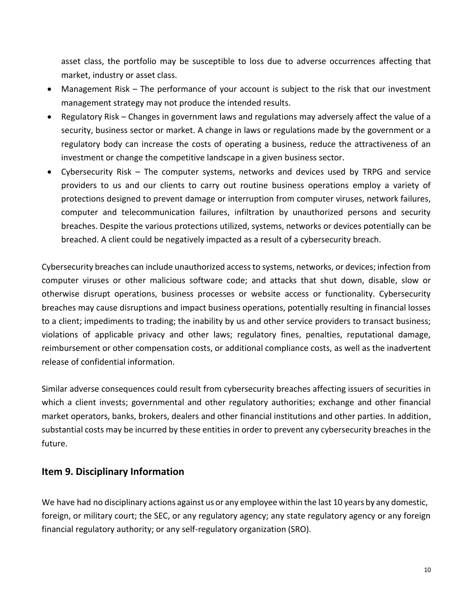asset class, the portfolio may be susceptible to loss due to adverse occurrences affecting that market, industry or asset class.

- Management Risk The performance of your account is subject to the risk that our investment management strategy may not produce the intended results.
- Regulatory Risk Changes in government laws and regulations may adversely affect the value of a security, business sector or market. A change in laws or regulations made by the government or a regulatory body can increase the costs of operating a business, reduce the attractiveness of an investment or change the competitive landscape in a given business sector.
- Cybersecurity Risk The computer systems, networks and devices used by TRPG and service providers to us and our clients to carry out routine business operations employ a variety of protections designed to prevent damage or interruption from computer viruses, network failures, computer and telecommunication failures, infiltration by unauthorized persons and security breaches. Despite the various protections utilized, systems, networks or devices potentially can be breached. A client could be negatively impacted as a result of a cybersecurity breach.

Cybersecurity breaches can include unauthorized access to systems, networks, or devices; infection from computer viruses or other malicious software code; and attacks that shut down, disable, slow or otherwise disrupt operations, business processes or website access or functionality. Cybersecurity breaches may cause disruptions and impact business operations, potentially resulting in financial losses to a client; impediments to trading; the inability by us and other service providers to transact business; violations of applicable privacy and other laws; regulatory fines, penalties, reputational damage, reimbursement or other compensation costs, or additional compliance costs, as well as the inadvertent release of confidential information.

Similar adverse consequences could result from cybersecurity breaches affecting issuers of securities in which a client invests; governmental and other regulatory authorities; exchange and other financial market operators, banks, brokers, dealers and other financial institutions and other parties. In addition, substantial costs may be incurred by these entities in order to prevent any cybersecurity breaches in the future.

## <span id="page-9-0"></span>**Item 9. Disciplinary Information**

We have had no disciplinary actions against us or any employee within the last 10 years by any domestic, foreign, or military court; the SEC, or any regulatory agency; any state regulatory agency or any foreign financial regulatory authority; or any self-regulatory organization (SRO).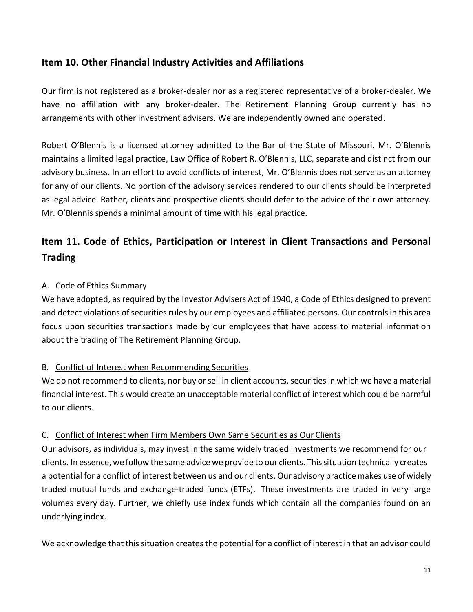## <span id="page-10-0"></span>**Item 10. Other Financial Industry Activities and Affiliations**

Our firm is not registered as a broker-dealer nor as a registered representative of a broker-dealer. We have no affiliation with any broker-dealer. The Retirement Planning Group currently has no arrangements with other investment advisers. We are independently owned and operated.

Robert O'Blennis is a licensed attorney admitted to the Bar of the State of Missouri. Mr. O'Blennis maintains a limited legal practice, Law Office of Robert R. O'Blennis, LLC, separate and distinct from our advisory business. In an effort to avoid conflicts of interest, Mr. O'Blennis does not serve as an attorney for any of our clients. No portion of the advisory services rendered to our clients should be interpreted as legal advice. Rather, clients and prospective clients should defer to the advice of their own attorney. Mr. O'Blennis spends a minimal amount of time with his legal practice.

# <span id="page-10-1"></span>**Item 11. Code of Ethics, Participation or Interest in Client Transactions and Personal Trading**

### A. Code of Ethics Summary

We have adopted, as required by the Investor Advisers Act of 1940, a Code of Ethics designed to prevent and detect violations of securities rules by our employees and affiliated persons. Our controls in this area focus upon securities transactions made by our employees that have access to material information about the trading of The Retirement Planning Group.

### B. Conflict of Interest when Recommending Securities

We do not recommend to clients, nor buy or sell in client accounts, securities in which we have a material financial interest. This would create an unacceptable material conflict of interest which could be harmful to our clients.

#### C. Conflict of Interest when Firm Members Own Same Securities as Our Clients

Our advisors, as individuals, may invest in the same widely traded investments we recommend for our clients. In essence, we follow the same advice we provide to our clients. Thissituation technically creates a potential for a conflict of interest between us and our clients. Our advisory practice makes use of widely traded mutual funds and exchange-traded funds (ETFs). These investments are traded in very large volumes every day. Further, we chiefly use index funds which contain all the companies found on an underlying index.

We acknowledge that this situation creates the potential for a conflict of interest in that an advisor could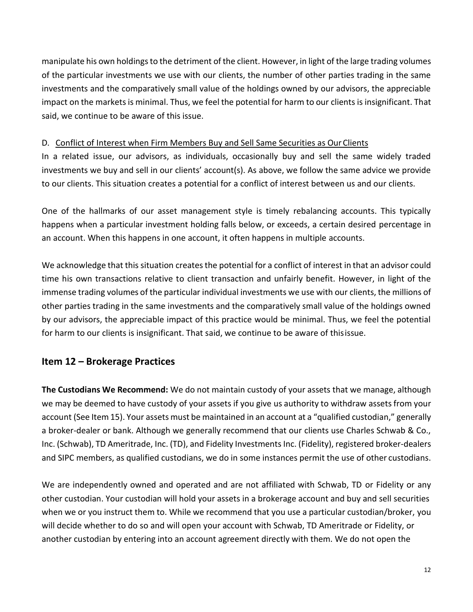manipulate his own holdingsto the detriment of the client. However, in light of the large trading volumes of the particular investments we use with our clients, the number of other parties trading in the same investments and the comparatively small value of the holdings owned by our advisors, the appreciable impact on the markets is minimal. Thus, we feel the potential for harm to our clients is insignificant. That said, we continue to be aware of this issue.

#### D. Conflict of Interest when Firm Members Buy and Sell Same Securities as OurClients

In a related issue, our advisors, as individuals, occasionally buy and sell the same widely traded investments we buy and sell in our clients' account(s). As above, we follow the same advice we provide to our clients. This situation creates a potential for a conflict of interest between us and our clients.

One of the hallmarks of our asset management style is timely rebalancing accounts. This typically happens when a particular investment holding falls below, or exceeds, a certain desired percentage in an account. When this happens in one account, it often happens in multiple accounts.

We acknowledge that this situation creates the potential for a conflict of interest in that an advisor could time his own transactions relative to client transaction and unfairly benefit. However, in light of the immense trading volumes of the particular individual investments we use with our clients, the millions of other parties trading in the same investments and the comparatively small value of the holdings owned by our advisors, the appreciable impact of this practice would be minimal. Thus, we feel the potential for harm to our clients is insignificant. That said, we continue to be aware of thisissue.

## <span id="page-11-0"></span>**Item 12 – Brokerage Practices**

**The Custodians We Recommend:** We do not maintain custody of your assets that we manage, although we may be deemed to have custody of your assets if you give us authority to withdraw assets from your account (See Item 15). Your assets must be maintained in an account at a "qualified custodian," generally a broker-dealer or bank. Although we generally recommend that our clients use Charles Schwab & Co., Inc. (Schwab), TD Ameritrade, Inc. (TD), and Fidelity Investments Inc. (Fidelity), registered broker-dealers and SIPC members, as qualified custodians, we do in some instances permit the use of other custodians.

We are independently owned and operated and are not affiliated with Schwab, TD or Fidelity or any other custodian. Your custodian will hold your assets in a brokerage account and buy and sell securities when we or you instruct them to. While we recommend that you use a particular custodian/broker, you will decide whether to do so and will open your account with Schwab, TD Ameritrade or Fidelity, or another custodian by entering into an account agreement directly with them. We do not open the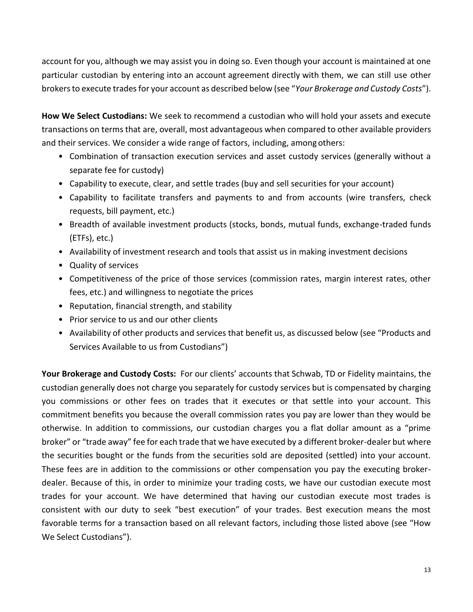account for you, although we may assist you in doing so. Even though your account is maintained at one particular custodian by entering into an account agreement directly with them, we can still use other brokers to execute trades for your account as described below (see "*Your Brokerage and Custody Costs*").

**How We Select Custodians:** We seek to recommend a custodian who will hold your assets and execute transactions on termsthat are, overall, most advantageous when compared to other available providers and their services. We consider a wide range of factors, including, among others:

- Combination of transaction execution services and asset custody services (generally without a separate fee for custody)
- Capability to execute, clear, and settle trades (buy and sell securities for your account)
- Capability to facilitate transfers and payments to and from accounts (wire transfers, check requests, bill payment, etc.)
- Breadth of available investment products (stocks, bonds, mutual funds, exchange-traded funds (ETFs), etc.)
- Availability of investment research and tools that assist us in making investment decisions
- Quality of services
- Competitiveness of the price of those services (commission rates, margin interest rates, other fees, etc.) and willingness to negotiate the prices
- Reputation, financial strength, and stability
- Prior service to us and our other clients
- Availability of other products and services that benefit us, as discussed below (see "Products and Services Available to us from Custodians")

**Your Brokerage and Custody Costs:** For our clients' accounts that Schwab, TD or Fidelity maintains, the custodian generally does not charge you separately for custody services but is compensated by charging you commissions or other fees on trades that it executes or that settle into your account. This commitment benefits you because the overall commission rates you pay are lower than they would be otherwise. In addition to commissions, our custodian charges you a flat dollar amount as a "prime broker" or "trade away" fee for each trade that we have executed by a different broker-dealer but where the securities bought or the funds from the securities sold are deposited (settled) into your account. These fees are in addition to the commissions or other compensation you pay the executing brokerdealer. Because of this, in order to minimize your trading costs, we have our custodian execute most trades for your account. We have determined that having our custodian execute most trades is consistent with our duty to seek "best execution" of your trades. Best execution means the most favorable terms for a transaction based on all relevant factors, including those listed above (see "How We Select Custodians").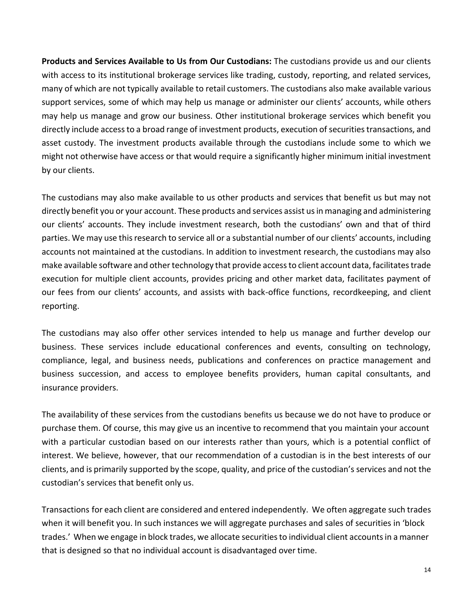**Products and Services Available to Us from Our Custodians:** The custodians provide us and our clients with access to its institutional brokerage services like trading, custody, reporting, and related services, many of which are not typically available to retail customers. The custodians also make available various support services, some of which may help us manage or administer our clients' accounts, while others may help us manage and grow our business. Other institutional brokerage services which benefit you directly include access to a broad range of investment products, execution of securities transactions, and asset custody. The investment products available through the custodians include some to which we might not otherwise have access or that would require a significantly higher minimum initial investment by our clients.

The custodians may also make available to us other products and services that benefit us but may not directly benefit you or your account. These products and services assist us in managing and administering our clients' accounts. They include investment research, both the custodians' own and that of third parties. We may use this research to service all or a substantial number of our clients' accounts, including accounts not maintained at the custodians. In addition to investment research, the custodians may also make available software and other technology that provide access to client account data, facilitates trade execution for multiple client accounts, provides pricing and other market data, facilitates payment of our fees from our clients' accounts, and assists with back-office functions, recordkeeping, and client reporting.

The custodians may also offer other services intended to help us manage and further develop our business. These services include educational conferences and events, consulting on technology, compliance, legal, and business needs, publications and conferences on practice management and business succession, and access to employee benefits providers, human capital consultants, and insurance providers.

The availability of these services from the custodians benefits us because we do not have to produce or purchase them. Of course, this may give us an incentive to recommend that you maintain your account with a particular custodian based on our interests rather than yours, which is a potential conflict of interest. We believe, however, that our recommendation of a custodian is in the best interests of our clients, and is primarily supported by the scope, quality, and price of the custodian's services and not the custodian's services that benefit only us.

Transactions for each client are considered and entered independently. We often aggregate such trades when it will benefit you. In such instances we will aggregate purchases and sales of securities in 'block trades.' When we engage in block trades, we allocate securitiesto individual client accountsin a manner that is designed so that no individual account is disadvantaged over time.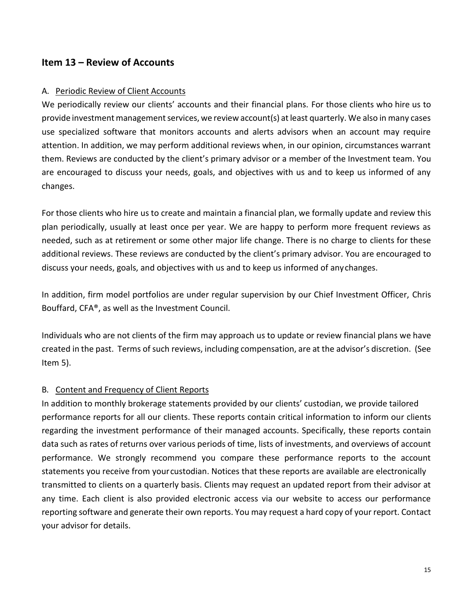## <span id="page-14-0"></span>**Item 13 – Review of Accounts**

#### A. Periodic Review of Client Accounts

We periodically review our clients' accounts and their financial plans. For those clients who hire us to provide investment management services, we review account(s) at least quarterly. We also in many cases use specialized software that monitors accounts and alerts advisors when an account may require attention. In addition, we may perform additional reviews when, in our opinion, circumstances warrant them. Reviews are conducted by the client's primary advisor or a member of the Investment team. You are encouraged to discuss your needs, goals, and objectives with us and to keep us informed of any changes.

For those clients who hire us to create and maintain a financial plan, we formally update and review this plan periodically, usually at least once per year. We are happy to perform more frequent reviews as needed, such as at retirement or some other major life change. There is no charge to clients for these additional reviews. These reviews are conducted by the client's primary advisor. You are encouraged to discuss your needs, goals, and objectives with us and to keep us informed of anychanges.

In addition, firm model portfolios are under regular supervision by our Chief Investment Officer, Chris Bouffard, CFA®, as well as the Investment Council.

Individuals who are not clients of the firm may approach us to update or review financial plans we have created in the past. Terms of such reviews, including compensation, are at the advisor's discretion. (See Item 5).

#### B. Content and Frequency of Client Reports

In addition to monthly brokerage statements provided by our clients' custodian, we provide tailored performance reports for all our clients. These reports contain critical information to inform our clients regarding the investment performance of their managed accounts. Specifically, these reports contain data such as rates of returns over various periods of time, lists of investments, and overviews of account performance. We strongly recommend you compare these performance reports to the account statements you receive from yourcustodian. Notices that these reports are available are electronically transmitted to clients on a quarterly basis. Clients may request an updated report from their advisor at any time. Each client is also provided electronic access via our website to access our performance reporting software and generate their own reports. You may request a hard copy of your report. Contact your advisor for details.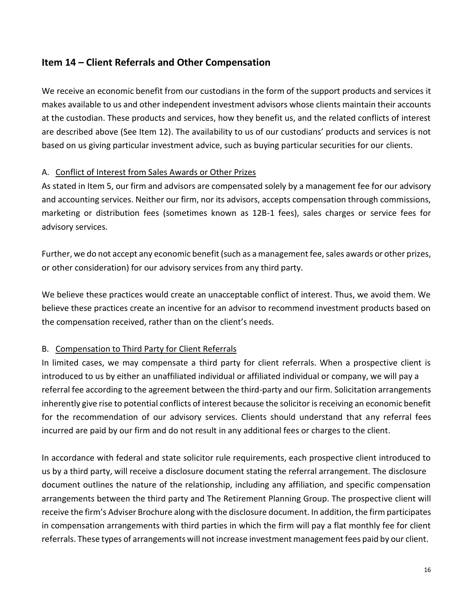## <span id="page-15-0"></span>**Item 14 – Client Referrals and Other Compensation**

We receive an economic benefit from our custodians in the form of the support products and services it makes available to us and other independent investment advisors whose clients maintain their accounts at the custodian. These products and services, how they benefit us, and the related conflicts of interest are described above (See Item 12). The availability to us of our custodians' products and services is not based on us giving particular investment advice, such as buying particular securities for our clients.

#### A. Conflict of Interest from Sales Awards or Other Prizes

As stated in Item 5, our firm and advisors are compensated solely by a management fee for our advisory and accounting services. Neither our firm, nor its advisors, accepts compensation through commissions, marketing or distribution fees (sometimes known as 12B-1 fees), sales charges or service fees for advisory services.

Further, we do not accept any economic benefit (such as a management fee, sales awards or other prizes, or other consideration) for our advisory services from any third party.

We believe these practices would create an unacceptable conflict of interest. Thus, we avoid them. We believe these practices create an incentive for an advisor to recommend investment products based on the compensation received, rather than on the client's needs.

### B. Compensation to Third Party for Client Referrals

In limited cases, we may compensate a third party for client referrals. When a prospective client is introduced to us by either an unaffiliated individual or affiliated individual or company, we will pay a referral fee according to the agreement between the third-party and our firm. Solicitation arrangements inherently give rise to potential conflicts of interest because the solicitor is receiving an economic benefit for the recommendation of our advisory services. Clients should understand that any referral fees incurred are paid by our firm and do not result in any additional fees or charges to the client.

In accordance with federal and state solicitor rule requirements, each prospective client introduced to us by a third party, will receive a disclosure document stating the referral arrangement. The disclosure document outlines the nature of the relationship, including any affiliation, and specific compensation arrangements between the third party and The Retirement Planning Group. The prospective client will receive the firm's Adviser Brochure along with the disclosure document. In addition, the firm participates in compensation arrangements with third parties in which the firm will pay a flat monthly fee for client referrals. These types of arrangements will not increase investment management fees paid by our client.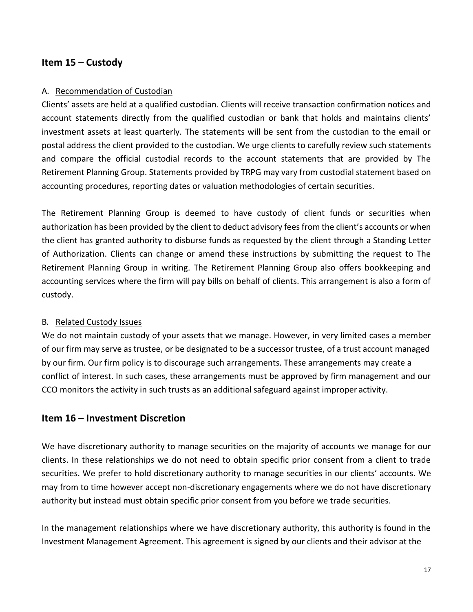## <span id="page-16-0"></span>**Item 15 – Custody**

#### A. Recommendation of Custodian

Clients' assets are held at a qualified custodian. Clients will receive transaction confirmation notices and account statements directly from the qualified custodian or bank that holds and maintains clients' investment assets at least quarterly. The statements will be sent from the custodian to the email or postal address the client provided to the custodian. We urge clients to carefully review such statements and compare the official custodial records to the account statements that are provided by The Retirement Planning Group. Statements provided by TRPG may vary from custodial statement based on accounting procedures, reporting dates or valuation methodologies of certain securities.

The Retirement Planning Group is deemed to have custody of client funds or securities when authorization has been provided by the client to deduct advisory fees from the client's accounts or when the client has granted authority to disburse funds as requested by the client through a Standing Letter of Authorization. Clients can change or amend these instructions by submitting the request to The Retirement Planning Group in writing. The Retirement Planning Group also offers bookkeeping and accounting services where the firm will pay bills on behalf of clients. This arrangement is also a form of custody.

### B. Related Custody Issues

We do not maintain custody of your assets that we manage. However, in very limited cases a member of our firm may serve astrustee, or be designated to be a successor trustee, of a trust account managed by our firm. Our firm policy is to discourage such arrangements. These arrangements may create a conflict of interest. In such cases, these arrangements must be approved by firm management and our CCO monitors the activity in such trusts as an additional safeguard against improper activity.

### <span id="page-16-1"></span>**Item 16 – Investment Discretion**

We have discretionary authority to manage securities on the majority of accounts we manage for our clients. In these relationships we do not need to obtain specific prior consent from a client to trade securities. We prefer to hold discretionary authority to manage securities in our clients' accounts. We may from to time however accept non-discretionary engagements where we do not have discretionary authority but instead must obtain specific prior consent from you before we trade securities.

In the management relationships where we have discretionary authority, this authority is found in the Investment Management Agreement. This agreement is signed by our clients and their advisor at the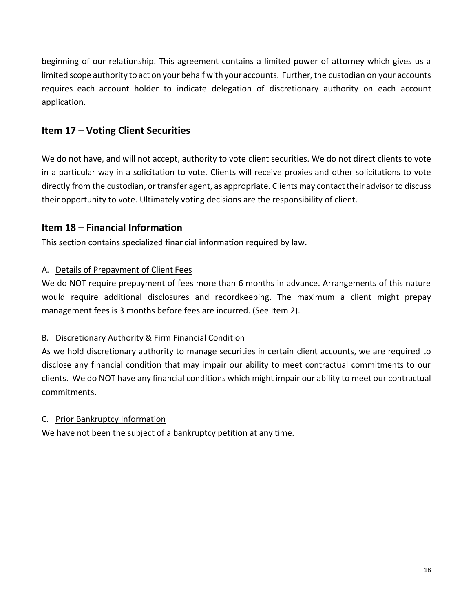beginning of our relationship. This agreement contains a limited power of attorney which gives us a limited scope authority to act on your behalf with your accounts. Further, the custodian on your accounts requires each account holder to indicate delegation of discretionary authority on each account application.

# <span id="page-17-0"></span>**Item 17 – Voting Client Securities**

We do not have, and will not accept, authority to vote client securities. We do not direct clients to vote in a particular way in a solicitation to vote. Clients will receive proxies and other solicitations to vote directly from the custodian, ortransfer agent, as appropriate. Clients may contact their advisorto discuss their opportunity to vote. Ultimately voting decisions are the responsibility of client.

## <span id="page-17-1"></span>**Item 18 – Financial Information**

This section contains specialized financial information required by law.

### A. Details of Prepayment of Client Fees

We do NOT require prepayment of fees more than 6 months in advance. Arrangements of this nature would require additional disclosures and recordkeeping. The maximum a client might prepay management fees is 3 months before fees are incurred. (See Item 2).

## B. Discretionary Authority & Firm Financial Condition

As we hold discretionary authority to manage securities in certain client accounts, we are required to disclose any financial condition that may impair our ability to meet contractual commitments to our clients. We do NOT have any financial conditions which might impair our ability to meet our contractual commitments.

## C. Prior Bankruptcy Information

We have not been the subject of a bankruptcy petition at any time.